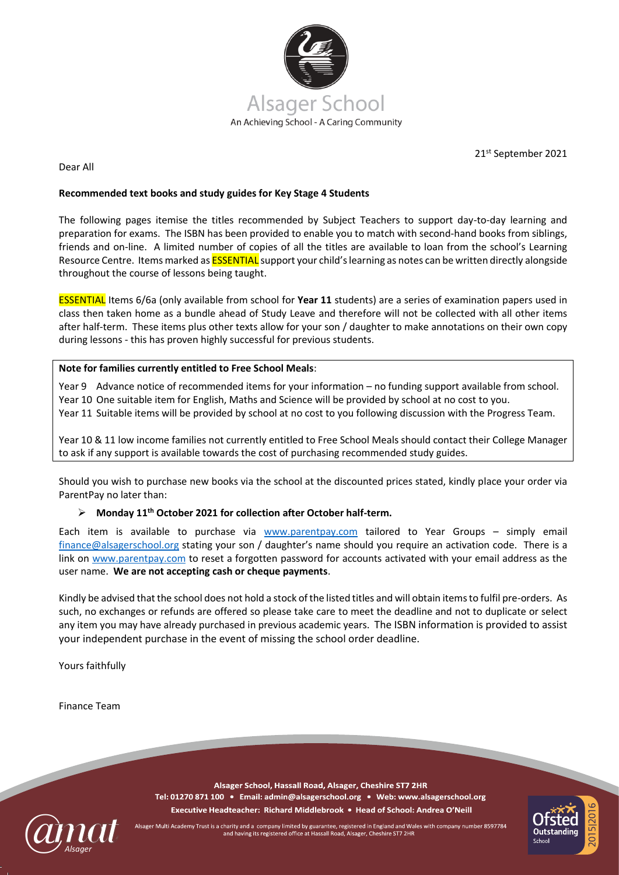

21st September 2021

Dear All

## **Recommended text books and study guides for Key Stage 4 Students**

The following pages itemise the titles recommended by Subject Teachers to support day-to-day learning and preparation for exams. The ISBN has been provided to enable you to match with second-hand books from siblings, friends and on-line. A limited number of copies of all the titles are available to loan from the school's Learning Resource Centre. Items marked as **ESSENTIAL** support your child's learning as notes can be written directly alongside throughout the course of lessons being taught.

ESSENTIAL Items 6/6a (only available from school for **Year 11** students) are a series of examination papers used in class then taken home as a bundle ahead of Study Leave and therefore will not be collected with all other items after half-term. These items plus other texts allow for your son / daughter to make annotations on their own copy during lessons - this has proven highly successful for previous students.

## **Note for families currently entitled to Free School Meals**:

Year 9 Advance notice of recommended items for your information – no funding support available from school. Year 10 One suitable item for English, Maths and Science will be provided by school at no cost to you.

Year 11 Suitable items will be provided by school at no cost to you following discussion with the Progress Team.

Year 10 & 11 low income families not currently entitled to Free School Meals should contact their College Manager to ask if any support is available towards the cost of purchasing recommended study guides.

Should you wish to purchase new books via the school at the discounted prices stated, kindly place your order via ParentPay no later than:

## ➢ **Monday 11 th October 2021 for collection after October half-term.**

Each item is available to purchase via [www.parentpay.com](http://www.parentpay.com/) tailored to Year Groups - simply email [finance@alsagerschool.org](mailto:finance@alsagerschool.org) stating your son / daughter's name should you require an activation code. There is a link on [www.parentpay.com](http://www.parentpay.com/) to reset a forgotten password for accounts activated with your email address as the user name. **We are not accepting cash or cheque payments**.

Kindly be advised that the school does not hold a stock of the listed titles and will obtain items to fulfil pre-orders. As such, no exchanges or refunds are offered so please take care to meet the deadline and not to duplicate or select any item you may have already purchased in previous academic years. The ISBN information is provided to assist your independent purchase in the event of missing the school order deadline.

Yours faithfully

Finance Team

Alsager School, Hassall Road, Alsager, Cheshire ST7 2HR Tel: 01270 871 100 · Email: admin@alsagerschool.org · Web: www.alsagerschool.org Executive Headteacher: Richard Middlebrook . Head of School: Andrea O'Neill



Alsager Multi Academy Trust is a charity and a company limited by guarantee, registered in England and Wales with company number 8597784<br>and having its registered office at Hassall Road, Alsager, Cheshire ST7 2HR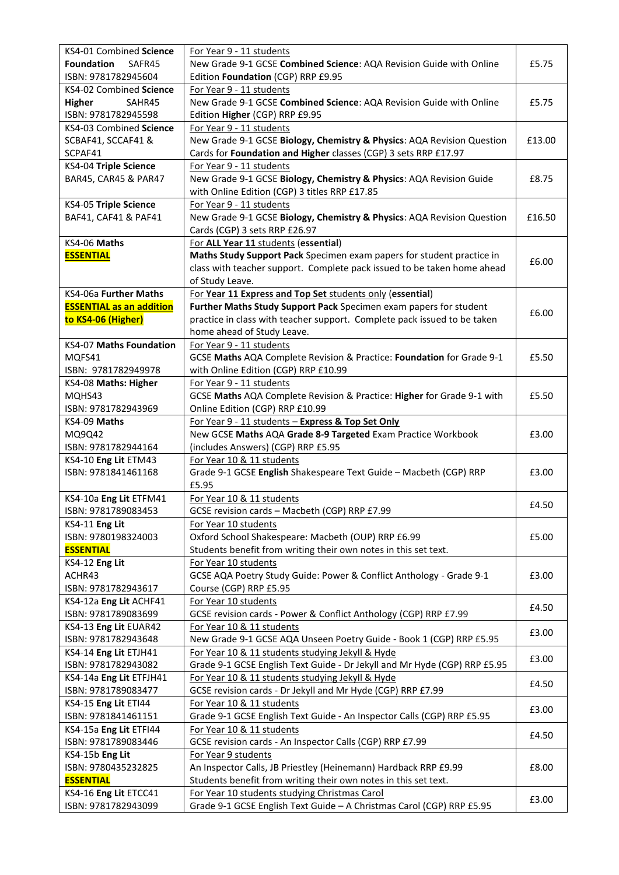| KS4-01 Combined Science         | For Year 9 - 11 students                                                                                               |        |
|---------------------------------|------------------------------------------------------------------------------------------------------------------------|--------|
| <b>Foundation</b><br>SAFR45     | New Grade 9-1 GCSE Combined Science: AQA Revision Guide with Online                                                    | £5.75  |
| ISBN: 9781782945604             | Edition Foundation (CGP) RRP £9.95                                                                                     |        |
| KS4-02 Combined Science         | For Year 9 - 11 students                                                                                               |        |
| <b>Higher</b><br>SAHR45         | New Grade 9-1 GCSE Combined Science: AQA Revision Guide with Online                                                    | £5.75  |
| ISBN: 9781782945598             | Edition Higher (CGP) RRP £9.95                                                                                         |        |
| KS4-03 Combined Science         | For Year 9 - 11 students                                                                                               |        |
| SCBAF41, SCCAF41 &              | New Grade 9-1 GCSE Biology, Chemistry & Physics: AQA Revision Question                                                 | £13.00 |
| SCPAF41                         | Cards for Foundation and Higher classes (CGP) 3 sets RRP £17.97                                                        |        |
| KS4-04 Triple Science           | For Year 9 - 11 students                                                                                               |        |
| BAR45, CAR45 & PAR47            | New Grade 9-1 GCSE Biology, Chemistry & Physics: AQA Revision Guide                                                    | £8.75  |
|                                 | with Online Edition (CGP) 3 titles RRP £17.85                                                                          |        |
| KS4-05 Triple Science           | For Year 9 - 11 students                                                                                               |        |
| BAF41, CAF41 & PAF41            | New Grade 9-1 GCSE Biology, Chemistry & Physics: AQA Revision Question                                                 | £16.50 |
|                                 |                                                                                                                        |        |
|                                 | Cards (CGP) 3 sets RRP £26.97                                                                                          |        |
| KS4-06 Maths                    | For ALL Year 11 students (essential)                                                                                   |        |
| <b>ESSENTIAL</b>                | Maths Study Support Pack Specimen exam papers for student practice in                                                  | £6.00  |
|                                 | class with teacher support. Complete pack issued to be taken home ahead                                                |        |
|                                 | of Study Leave.                                                                                                        |        |
| KS4-06a Further Maths           | For Year 11 Express and Top Set students only (essential)                                                              |        |
| <b>ESSENTIAL as an addition</b> | Further Maths Study Support Pack Specimen exam papers for student                                                      | £6.00  |
| to KS4-06 (Higher)              | practice in class with teacher support. Complete pack issued to be taken                                               |        |
|                                 | home ahead of Study Leave.                                                                                             |        |
| <b>KS4-07 Maths Foundation</b>  | For Year 9 - 11 students                                                                                               |        |
| MQFS41                          | GCSE Maths AQA Complete Revision & Practice: Foundation for Grade 9-1                                                  | £5.50  |
| ISBN: 9781782949978             | with Online Edition (CGP) RRP £10.99                                                                                   |        |
| KS4-08 Maths: Higher            | For Year 9 - 11 students                                                                                               |        |
| MQHS43                          | GCSE Maths AQA Complete Revision & Practice: Higher for Grade 9-1 with                                                 | £5.50  |
| ISBN: 9781782943969             | Online Edition (CGP) RRP £10.99                                                                                        |        |
| KS4-09 Maths                    | For Year 9 - 11 students - Express & Top Set Only                                                                      |        |
| MQ9Q42                          | New GCSE Maths AQA Grade 8-9 Targeted Exam Practice Workbook                                                           | £3.00  |
| ISBN: 9781782944164             | (includes Answers) (CGP) RRP £5.95                                                                                     |        |
| KS4-10 Eng Lit ETM43            | For Year 10 & 11 students                                                                                              |        |
| ISBN: 9781841461168             | Grade 9-1 GCSE English Shakespeare Text Guide - Macbeth (CGP) RRP                                                      |        |
|                                 |                                                                                                                        | £3.00  |
|                                 | £5.95                                                                                                                  |        |
| KS4-10a Eng Lit ETFM41          | For Year 10 & 11 students                                                                                              | £4.50  |
| ISBN: 9781789083453             | GCSE revision cards - Macbeth (CGP) RRP £7.99                                                                          |        |
| KS4-11 Eng Lit                  | For Year 10 students                                                                                                   |        |
| ISBN: 9780198324003             | Oxford School Shakespeare: Macbeth (OUP) RRP £6.99                                                                     | £5.00  |
| <b>ESSENTIAL</b>                | Students benefit from writing their own notes in this set text.                                                        |        |
| KS4-12 Eng Lit                  | For Year 10 students                                                                                                   |        |
| ACHR43                          | GCSE AQA Poetry Study Guide: Power & Conflict Anthology - Grade 9-1                                                    | £3.00  |
| ISBN: 9781782943617             | Course (CGP) RRP £5.95                                                                                                 |        |
| KS4-12a Eng Lit ACHF41          | For Year 10 students                                                                                                   |        |
| ISBN: 9781789083699             | GCSE revision cards - Power & Conflict Anthology (CGP) RRP £7.99                                                       | £4.50  |
| KS4-13 Eng Lit EUAR42           | For Year 10 & 11 students                                                                                              |        |
| ISBN: 9781782943648             | New Grade 9-1 GCSE AQA Unseen Poetry Guide - Book 1 (CGP) RRP £5.95                                                    | £3.00  |
| KS4-14 Eng Lit ETJH41           | For Year 10 & 11 students studying Jekyll & Hyde                                                                       |        |
| ISBN: 9781782943082             | Grade 9-1 GCSE English Text Guide - Dr Jekyll and Mr Hyde (CGP) RRP £5.95                                              | £3.00  |
| KS4-14a Eng Lit ETFJH41         | For Year 10 & 11 students studying Jekyll & Hyde                                                                       |        |
| ISBN: 9781789083477             | GCSE revision cards - Dr Jekyll and Mr Hyde (CGP) RRP £7.99                                                            | £4.50  |
| KS4-15 Eng Lit ETI44            | For Year 10 & 11 students                                                                                              |        |
| ISBN: 9781841461151             |                                                                                                                        | £3.00  |
|                                 | Grade 9-1 GCSE English Text Guide - An Inspector Calls (CGP) RRP £5.95                                                 |        |
| KS4-15a Eng Lit ETFI44          | For Year 10 & 11 students                                                                                              | £4.50  |
| ISBN: 9781789083446             | GCSE revision cards - An Inspector Calls (CGP) RRP £7.99                                                               |        |
| KS4-15b Eng Lit                 | For Year 9 students                                                                                                    |        |
| ISBN: 9780435232825             | An Inspector Calls, JB Priestley (Heinemann) Hardback RRP £9.99                                                        | £8.00  |
| <b>ESSENTIAL</b>                |                                                                                                                        |        |
|                                 | Students benefit from writing their own notes in this set text.                                                        |        |
| KS4-16 Eng Lit ETCC41           | For Year 10 students studying Christmas Carol<br>Grade 9-1 GCSE English Text Guide - A Christmas Carol (CGP) RRP £5.95 | £3.00  |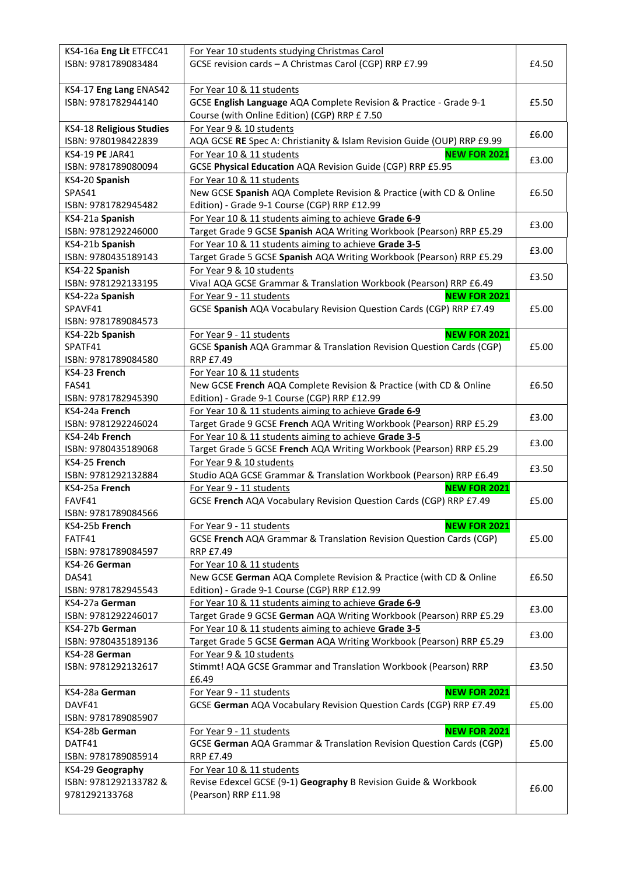| KS4-16a Eng Lit ETFCC41  | For Year 10 students studying Christmas Carol                           |       |
|--------------------------|-------------------------------------------------------------------------|-------|
| ISBN: 9781789083484      | GCSE revision cards - A Christmas Carol (CGP) RRP £7.99                 | £4.50 |
|                          |                                                                         |       |
| KS4-17 Eng Lang ENAS42   | For Year 10 & 11 students                                               |       |
| ISBN: 9781782944140      | GCSE English Language AQA Complete Revision & Practice - Grade 9-1      | £5.50 |
|                          | Course (with Online Edition) (CGP) RRP £7.50                            |       |
| KS4-18 Religious Studies | For Year 9 & 10 students                                                |       |
| ISBN: 9780198422839      | AQA GCSE RE Spec A: Christianity & Islam Revision Guide (OUP) RRP £9.99 | £6.00 |
| KS4-19 PE JAR41          | <b>NEW FOR 2021</b><br>For Year 10 & 11 students                        |       |
| ISBN: 9781789080094      | GCSE Physical Education AQA Revision Guide (CGP) RRP £5.95              | £3.00 |
| KS4-20 Spanish           | For Year 10 & 11 students                                               |       |
| SPAS41                   | New GCSE Spanish AQA Complete Revision & Practice (with CD & Online     | £6.50 |
| ISBN: 9781782945482      | Edition) - Grade 9-1 Course (CGP) RRP £12.99                            |       |
| KS4-21a Spanish          | For Year 10 & 11 students aiming to achieve Grade 6-9                   |       |
| ISBN: 9781292246000      | Target Grade 9 GCSE Spanish AQA Writing Workbook (Pearson) RRP £5.29    | £3.00 |
| KS4-21b Spanish          | For Year 10 & 11 students aiming to achieve Grade 3-5                   |       |
| ISBN: 9780435189143      | Target Grade 5 GCSE Spanish AQA Writing Workbook (Pearson) RRP £5.29    | £3.00 |
| KS4-22 Spanish           | For Year 9 & 10 students                                                |       |
| ISBN: 9781292133195      | Viva! AQA GCSE Grammar & Translation Workbook (Pearson) RRP £6.49       | £3.50 |
| KS4-22a Spanish          | For Year 9 - 11 students<br><b>NEW FOR 2021</b>                         |       |
|                          |                                                                         |       |
| SPAVF41                  | GCSE Spanish AQA Vocabulary Revision Question Cards (CGP) RRP £7.49     | £5.00 |
| ISBN: 9781789084573      |                                                                         |       |
| KS4-22b Spanish          | <b>NEW FOR 2021</b><br>For Year 9 - 11 students                         |       |
| SPATF41                  | GCSE Spanish AQA Grammar & Translation Revision Question Cards (CGP)    | £5.00 |
| ISBN: 9781789084580      | <b>RRP £7.49</b>                                                        |       |
| KS4-23 French            | For Year 10 & 11 students                                               |       |
| <b>FAS41</b>             | New GCSE French AQA Complete Revision & Practice (with CD & Online      | £6.50 |
| ISBN: 9781782945390      | Edition) - Grade 9-1 Course (CGP) RRP £12.99                            |       |
| KS4-24a French           | For Year 10 & 11 students aiming to achieve Grade 6-9                   | £3.00 |
| ISBN: 9781292246024      | Target Grade 9 GCSE French AQA Writing Workbook (Pearson) RRP £5.29     |       |
| KS4-24b French           | For Year 10 & 11 students aiming to achieve Grade 3-5                   | £3.00 |
| ISBN: 9780435189068      | Target Grade 5 GCSE French AQA Writing Workbook (Pearson) RRP £5.29     |       |
| KS4-25 French            | For Year 9 & 10 students                                                | £3.50 |
| ISBN: 9781292132884      | Studio AQA GCSE Grammar & Translation Workbook (Pearson) RRP £6.49      |       |
| KS4-25a French           | <b>NEW FOR 2021</b><br>For Year 9 - 11 students                         |       |
| FAVF41                   | GCSE French AQA Vocabulary Revision Question Cards (CGP) RRP £7.49      | £5.00 |
| ISBN: 9781789084566      |                                                                         |       |
| KS4-25b French           | <b>NEW FOR 2021</b><br>For Year 9 - 11 students                         |       |
| FATF41                   | GCSE French AQA Grammar & Translation Revision Question Cards (CGP)     | £5.00 |
| ISBN: 9781789084597      | <b>RRP £7.49</b>                                                        |       |
| KS4-26 German            | For Year 10 & 11 students                                               |       |
| DAS41                    | New GCSE German AQA Complete Revision & Practice (with CD & Online      | £6.50 |
| ISBN: 9781782945543      | Edition) - Grade 9-1 Course (CGP) RRP £12.99                            |       |
| KS4-27a German           | For Year 10 & 11 students aiming to achieve Grade 6-9                   | £3.00 |
| ISBN: 9781292246017      | Target Grade 9 GCSE German AQA Writing Workbook (Pearson) RRP £5.29     |       |
| KS4-27b German           | For Year 10 & 11 students aiming to achieve Grade 3-5                   | £3.00 |
| ISBN: 9780435189136      | Target Grade 5 GCSE German AQA Writing Workbook (Pearson) RRP £5.29     |       |
| KS4-28 German            | For Year 9 & 10 students                                                |       |
| ISBN: 9781292132617      | Stimmt! AQA GCSE Grammar and Translation Workbook (Pearson) RRP         | £3.50 |
|                          | £6.49                                                                   |       |
| KS4-28a German           | For Year 9 - 11 students<br><b>NEW FOR 2021</b>                         |       |
| DAVF41                   | GCSE German AQA Vocabulary Revision Question Cards (CGP) RRP £7.49      | £5.00 |
| ISBN: 9781789085907      |                                                                         |       |
| KS4-28b German           | <b>NEW FOR 2021</b><br>For Year 9 - 11 students                         |       |
| DATF41                   | GCSE German AQA Grammar & Translation Revision Question Cards (CGP)     | £5.00 |
| ISBN: 9781789085914      | <b>RRP £7.49</b>                                                        |       |
| KS4-29 Geography         | For Year 10 & 11 students                                               |       |
| ISBN: 9781292133782 &    | Revise Edexcel GCSE (9-1) Geography B Revision Guide & Workbook         | £6.00 |
| 9781292133768            | (Pearson) RRP £11.98                                                    |       |
|                          |                                                                         |       |